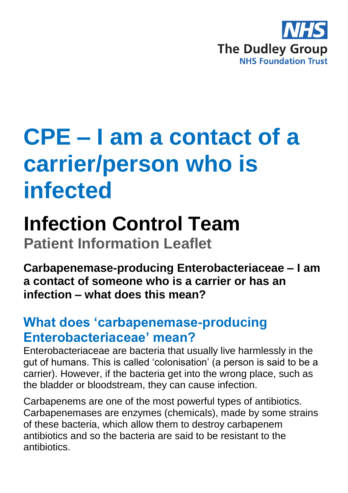

# **CPE – I am a contact of a carrier/person who is infected**

## **Infection Control Team**

**Patient Information Leaflet**

**Carbapenemase-producing Enterobacteriaceae – I am a contact of someone who is a carrier or has an infection – what does this mean?** 

### **What does 'carbapenemase-producing Enterobacteriaceae' mean?**

Enterobacteriaceae are bacteria that usually live harmlessly in the gut of humans. This is called 'colonisation' (a person is said to be a carrier). However, if the bacteria get into the wrong place, such as the bladder or bloodstream, they can cause infection.

Carbapenems are one of the most powerful types of antibiotics. Carbapenemases are enzymes (chemicals), made by some strains of these bacteria, which allow them to destroy carbapenem antibiotics and so the bacteria are said to be resistant to the antibiotics.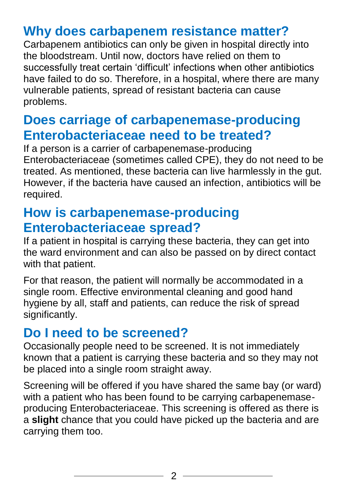#### **Why does carbapenem resistance matter?**

Carbapenem antibiotics can only be given in hospital directly into the bloodstream. Until now, doctors have relied on them to successfully treat certain 'difficult' infections when other antibiotics have failed to do so. Therefore, in a hospital, where there are many vulnerable patients, spread of resistant bacteria can cause problems.

#### **Does carriage of carbapenemase-producing Enterobacteriaceae need to be treated?**

If a person is a carrier of carbapenemase-producing Enterobacteriaceae (sometimes called CPE), they do not need to be treated. As mentioned, these bacteria can live harmlessly in the gut. However, if the bacteria have caused an infection, antibiotics will be required.

#### **How is carbapenemase-producing Enterobacteriaceae spread?**

If a patient in hospital is carrying these bacteria, they can get into the ward environment and can also be passed on by direct contact with that patient.

For that reason, the patient will normally be accommodated in a single room. Effective environmental cleaning and good hand hygiene by all, staff and patients, can reduce the risk of spread significantly.

#### **Do I need to be screened?**

Occasionally people need to be screened. It is not immediately known that a patient is carrying these bacteria and so they may not be placed into a single room straight away.

Screening will be offered if you have shared the same bay (or ward) with a patient who has been found to be carrying carbapenemaseproducing Enterobacteriaceae. This screening is offered as there is a **slight** chance that you could have picked up the bacteria and are carrying them too.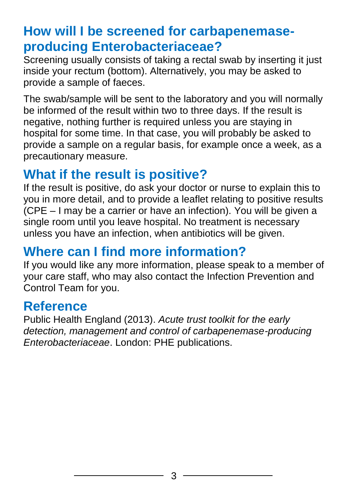### **How will I be screened for carbapenemaseproducing Enterobacteriaceae?**

Screening usually consists of taking a rectal swab by inserting it just inside your rectum (bottom). Alternatively, you may be asked to provide a sample of faeces.

The swab/sample will be sent to the laboratory and you will normally be informed of the result within two to three days. If the result is negative, nothing further is required unless you are staying in hospital for some time. In that case, you will probably be asked to provide a sample on a regular basis, for example once a week, as a precautionary measure.

### **What if the result is positive?**

If the result is positive, do ask your doctor or nurse to explain this to you in more detail, and to provide a leaflet relating to positive results (CPE – I may be a carrier or have an infection). You will be given a single room until you leave hospital. No treatment is necessary unless you have an infection, when antibiotics will be given.

#### **Where can I find more information?**

If you would like any more information, please speak to a member of your care staff, who may also contact the Infection Prevention and Control Team for you.

#### **Reference**

Public Health England (2013). *Acute trust toolkit for the early detection, management and control of carbapenemase-producing Enterobacteriaceae*. London: PHE publications.